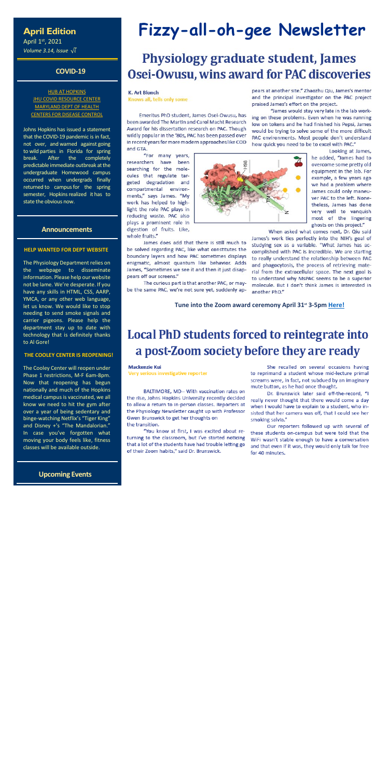### **April Edition**

April 1st, 2021 *Volume 3.14, Issue*  $\sqrt{i}$ 

#### **COVID-19**

#### **[HUB AT HOPKINS](https://hub.jhu.edu/novel-coronavirus-information/) JHU COVID [RESOURCE CENTER](https://coronavirus.jhu.edu/)** [MARYLAND DEPT OF HEALTH](https://coronavirus.maryland.gov/) [CENTERS FOR DISEASE CONTROL](https://www.cdc.gov/coronavirus/2019-ncov/index.html)

Johns Hopkins has issued a statement that the COVID-19 pandemic is in fact, not over, and warned against going to wild parties in Florida for spring break. After the completely predictable immediate outbreak at the undergraduate Homewood campus occurred when undergrads finally returned to campus for the spring semester, Hopkins realized it has to state the obvious now.

#### **Announcements**

#### **HELP WANTED FOR DEPT WEBSITE**

The Physiology Department relies on the webpage to disseminate information. Please help our website not be lame. We're desperate. If you have any skills in HTML, CSS, AARP, YMCA, or any other web language, let us know. We would like to stop needing to send smoke signals and carrier pigeons. Please help the department stay up to date with technology that is definitely thanks to Al Gore!

#### **THE COOLEY CENTER IS REOPENING!**

The Cooley Center will reopen under Phase 1 restrictions, M-F 6am-8pm. Now that reopening has begun nationally and much of the Hopkins medical campus is vaccinated, we all know we need to hit the gym after over a year of being sedentary and binge-watching Netflix's "Tiger King" and Disney +'s "The Mandalorian." In case you've forgotten what moving your body feels like, fitness classes will be available outside.

 **Upcoming Events**

# **Fizzy-all-oh-gee Newsletter**

# **Physiology graduate student, James** Osei-Owusu, wins award for PAC discoveries

#### **K. Art Blonch**

Knows all, tells only some

Emeritus PhD student, James Osei-Owusu, has been awarded The Martin and Carol Macht Research Award for his dissertation research on PAC. Though wildly popular in the '80s, PAC has been passed over in recent years for more modern approaches like COD and GTA.

"For many years, researchers have been searching for the molecules that regulate targeted degradation and compartmental environments," says James. "My work has helped to highlight the role PAC plays in reducing waste. PAC also plays a prominent role in digestion of fruits. Like, whole fruits."

James does add that there is still much to be solved regarding PAC, like what constitutes the boundary layers and how PAC sometimes displays enigmatic, almost quantum like behavior. Adds James, "Sometimes we see it and then it just disappears off our screens."

The curious part is that another PAC, or maybe the same PAC, we're not sure yet, suddenly ap-



pears at another site." Zhaozhu Qiu, James's mentor and the principal investigator on the PAC project praised James's effort on the project.

"James would stay very late in the lab working on these problems. Even when he was running low on tokens and he had finished his Pepsi, James would be trying to solve some of the more difficult PAC environments. Most people don't understand how quick you need to be to excel with PAC."

Looking at James, he added, "James had to overcome some pretty old equipment in the lab. For example, a few years ago we had a problem where James could only maneuver PAC to the left. Nonetheless, James has done very well to vanquish most of the lingering ghosts on this project."

When asked what comes next, Dr. Qiu said

James's work ties perfectly into the NIH's goal of studying sex as a variable. "What James has accomplished with PAC is incredible. We are starting to really understand the relationship between PAC and phagocytosis, the process of retrieving material from the extracellular space. The next goal is to understand why MsPAC seems to be a superior molecule. But I don't think James is interested in another PhD."

**Tune into the Zoom award ceremony April 31st 3-5pm [Here!](https://upload.wikimedia.org/wikipedia/en/9/9a/Trollface_non-free.png)**

# Local PhD students forced to reintegrate into a post-Zoom society before they are ready

#### **Mackenzie Kui**

Very serious investigative reporter

BALTIMORE, MD-- With vaccination rates on the rise, Johns Hopkins University recently decided to allow a return to in-person classes. Reporters at the Physiology Newsletter caught up with Professor Gwen Brunswick to get her thoughts on the transition.

"You know at first, I was excited about returning to the classroom, but I've started noticing that a lot of the students have had trouble letting go of their Zoom habits," said Dr. Brunswick.

She recalled on several occasions having to reprimand a student whose mid-lecture primal screams were, in fact, not subdued by an imaginary mute button, as he had once thought.

Dr. Brunswick later said off-the-record, "I really never thought that there would come a day when I would have to explain to a student, who insisted that her camera was off, that I could see her smoking salvia."

Our reporters followed up with several of these students on-campus but were told that the WiFi wasn't stable enough to have a conversation

and that even if it was, they would only talk for free for 40 minutes.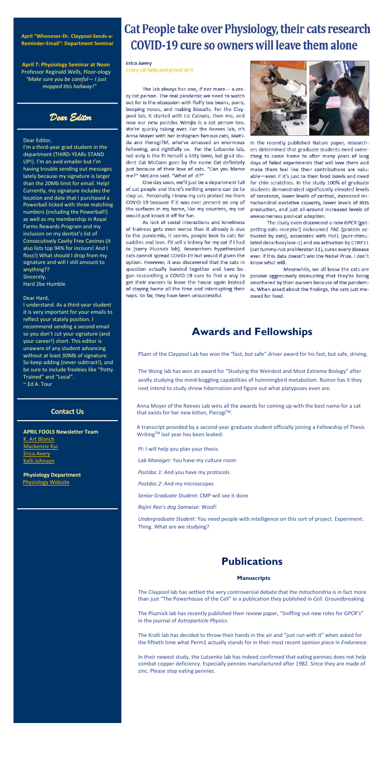#### **April "Whenever-Dr. Claypool-Sends-a-Reminder-Email": Department Seminar**

**April 7: Physiology Seminar at Noon** Professor Reginald Wells, Floor-ology *"Make sure you be careful— I just mopped this hallway!"*

*Dear Editor* 

#### Dear Editor,

I'm a third-year grad student in the department (THIRD-YEARs STAND UP!). I'm an avid emailer but I'm having trouble sending out messages lately because my signature is larger than the 20Mb limit for email. Help! Currently, my signature includes the location and date that I purchased a Powerball ticked with three matching numbers (including the Powerball!) as well as my membership in Royal Farms Rewards Program and my inclusion on my dentist's list of Consecutively Cavity Free Canines (it also lists top 94% for incisors! And I floss!) What should I drop from my signature and will I still amount to anything?? Sincerely, Hard 2be Humble

#### Dear Hard,

Anna Moyer of the Reeves Lab wins all the awards for coming up with the best name for a cat that exists for her new kitten, Pierogi™.

A transcript provided by a second-year graduate student officially joining a Fellowship of Thesis Writing™ last year has been leaked:

I understand. As a third-year student it is very important for your emails to reflect your stately position. I recommend sending a second email so you don't cut your signature (and your career!) short. This editor is unaware of any student advancing without at least 30Mb of signature. So keep adding (never subtract!), and be sure to include freebies like "Potty Trained" and "Local". ~ Ed A. Tour

#### **Contact Us**

**APRIL FOOLS Newsletter Team** [K. Art Blonch](mailto:nzaidman@jhmi.edu)

# Cat People take over Physiology, their cats research **COVID-19 cure so owners will leave them alone**

#### **Erica Avery**

Crazy cat lady and proud of it

The lab always has one, if not more- a crazy cat person. The real pandemic we need to watch out for is the obsession with fluffy toe beans, purrs, booping noses, and making biscuits. For the Claypool lab, it started with Liz Calzada, then me, and now our new postdoc Wenjia is a cat person too. We're quickly taking over. For the Reeves lab, it's Anna Moyer with her Instagram famous cats, Matilda and PierogiTM, who've amassed an enormous following, and rightfully so. For the Lutsenko lab, not only is the PI herself a kitty lover, but grad student Cat McCann goes by the name Cat definitely just because of their love of cats. "Can you blame me?" McCann said. "What of it?"

One day soon, we'll just be a department full of cat people and there's nothing anyone can do to stop us. Personally, I know my cats protect me from COVID-19 because if it was ever present on any of the surfaces in my home, like my counters, my cat would just knock it off for fun.

As lack of social interactions and loneliness of trainees gets even worse than it already is due to the pandemic, it seems, people look to cats for cuddles and love. I'd sell a kidney for my cat if I had to (sorry Pluznick lab). Researchers hypothesized cats cannot spread COVID-19 but would if given the option. However, it was discovered that the cats in question actually banded together and have begun researching a COVID-19 cure to find a way to get their owners to leave the house again instead of staying home all the time and interrupting their naps. So far, they have been unsuccessful.



In the recently published Nature paper, researchers determined that graduate students need something to come home to after many years of long days of failed experiments that will love them and make them feel like their contributions are valuable-even if it's just to their food bowls and need for chin scratchies. In the study 100% of graduate students demonstrated significantly elevated levels of serotonin, lower levels of cortisol, increased mitochondrial oxidative capacity, lower levels of ROS production, and just all-around increased levels of awesomeness post-cat adoption.

The study even discovered a new GPCR (getpetting-cats receptor) nicknamed PAC (protein activated by cats), associates with Psd1 (purr-stimulated decarboxylase-1) and via activation by CTRP11 (cat tummy-rub proliferator-11), cures every disease ever. If this data doesn't win the Nobel Prize, I don't know what will.

Meanwhile, we all know the cats are passive aggressively insinuating that they're being smothered by their owners because of the pandemic. When asked about the findings, the cats just meowed for food.

[Mackenzie](mailto:mkui1@jhmi.edu) Kui [Erica Avery](mailto:eavery3@jhmi.edu) [Kelli Johnson](mailto:kjohn199@Jhmi.edu)

**Physiology Department** [Physiology Website](http://physiology.bs.jhmi.edu/)

### **Awards and Fellowships**

PSam of the Claypool Lab has won the "fast, but safe" driver award for his fast, but safe, driving.

The Wong lab has won an award for "Studying the Weirdest and Most Extreme Biology" after avidly studying the mind-boggling capabilities of hummingbird metabolism. Rumor has it they next intend to study shrew hibernation and figure out what platypuses even are.

*PI*: I will help you plan your thesis *Lab Manager*: You have my culture room *Postdoc 1*: And you have my protocols *Postdoc 2*: And my microscopes *Senior Graduate Student*: CMP will see it done *Rajini Rao's dog Samwise*: Woof!

*Undergraduate Student*: You need people with intelligence on this sort of project. Experiment. Thing. What are we studying?

### **Publications**

#### **Manuscripts**

The Claypool lab has settled the very controversial debate that the mitochondria is in fact more than just "The Powerhouse of the Cell" in a publication they published in *Cell.* Groundbreaking.

The Pluznick lab has recently published their review paper, "Sniffing out new roles for GPCR's" in the journal of *Astroparticle Physics.*

The Kralli lab has decided to throw their hands in the air and "just run with it" when asked for the fiftieth time what Perm1 actually stands for in their most recent opinion piece in *Endurance.*

In their newest study, the Lutsenko lab has indeed confirmed that eating pennies does not help combat copper deficiency. Especially pennies manufactured after 1982. Since they are made of zinc. Please stop eating pennies.